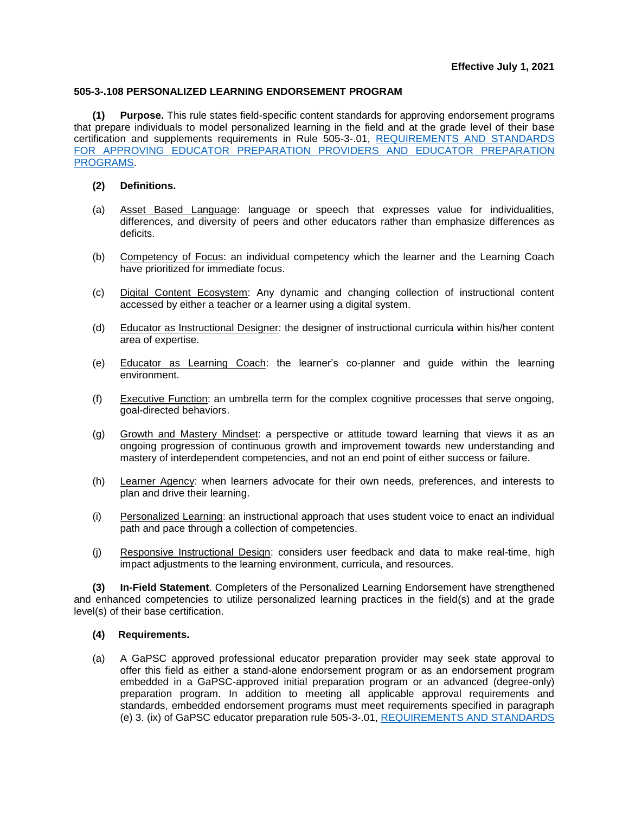## **505-3-.108 PERSONALIZED LEARNING ENDORSEMENT PROGRAM**

**(1) Purpose.** This rule states field-specific content standards for approving endorsement programs that prepare individuals to model personalized learning in the field and at the grade level of their base certification and supplements requirements in Rule 505-3-.01, [REQUIREMENTS AND STANDARDS](https://www.gapsc.com/Rules/Current/EducatorPreparation/505-3-.01.pdf?dt=%3C%25#Eval()  FOR APPROVING EDUCATOR PREPARATION [PROVIDERS AND EDUCATOR PREPARATION](https://www.gapsc.com/Rules/Current/EducatorPreparation/505-3-.01.pdf?dt=%3C%25#Eval()  [PROGRAMS.](https://www.gapsc.com/Rules/Current/EducatorPreparation/505-3-.01.pdf?dt=%3C%25#Eval()

## **(2) Definitions.**

- (a) Asset Based Language: language or speech that expresses value for individualities, differences, and diversity of peers and other educators rather than emphasize differences as deficits.
- (b) Competency of Focus: an individual competency which the learner and the Learning Coach have prioritized for immediate focus.
- (c) Digital Content Ecosystem: Any dynamic and changing collection of instructional content accessed by either a teacher or a learner using a digital system.
- (d) Educator as Instructional Designer: the designer of instructional curricula within his/her content area of expertise.
- (e) Educator as Learning Coach: the learner's co-planner and guide within the learning environment.
- (f) Executive Function: an umbrella term for the complex cognitive processes that serve ongoing, goal-directed behaviors.
- (g) Growth and Mastery Mindset: a perspective or attitude toward learning that views it as an ongoing progression of continuous growth and improvement towards new understanding and mastery of interdependent competencies, and not an end point of either success or failure.
- (h) Learner Agency: when learners advocate for their own needs, preferences, and interests to plan and drive their learning.
- (i) Personalized Learning: an instructional approach that uses student voice to enact an individual path and pace through a collection of competencies.
- (j) Responsive Instructional Design: considers user feedback and data to make real-time, high impact adjustments to the learning environment, curricula, and resources.

**(3) In-Field Statement**. Completers of the Personalized Learning Endorsement have strengthened and enhanced competencies to utilize personalized learning practices in the field(s) and at the grade level(s) of their base certification.

## **(4) Requirements.**

(a) A GaPSC approved professional educator preparation provider may seek state approval to offer this field as either a stand-alone endorsement program or as an endorsement program embedded in a GaPSC-approved initial preparation program or an advanced (degree-only) preparation program. In addition to meeting all applicable approval requirements and standards, embedded endorsement programs must meet requirements specified in paragraph (e) 3. (ix) of GaPSC educator preparation rule 505-3-.01, [REQUIREMENTS AND STANDARDS](https://www.gapsc.com/Rules/Current/EducatorPreparation/505-3-.01.pdf?dt=%3C%25#Eval()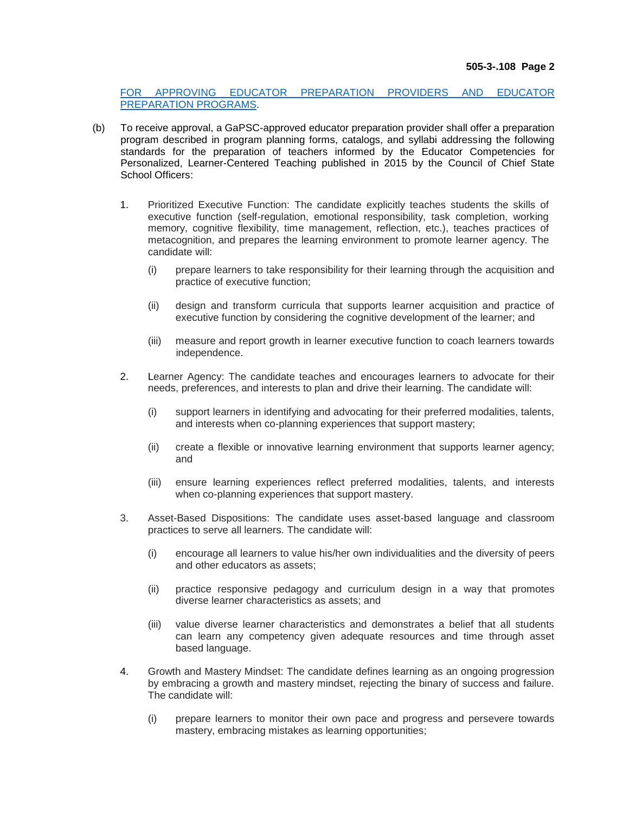[FOR APPROVING EDUCATOR PREPARATION PROVIDERS AND EDUCATOR](https://www.gapsc.com/Rules/Current/EducatorPreparation/505-3-.01.pdf?dt=%3C%25#Eval()  [PREPARATION PROGRAMS.](https://www.gapsc.com/Rules/Current/EducatorPreparation/505-3-.01.pdf?dt=%3C%25#Eval()

- (b) To receive approval, a GaPSC-approved educator preparation provider shall offer a preparation program described in program planning forms, catalogs, and syllabi addressing the following standards for the preparation of teachers informed by the Educator Competencies for Personalized, Learner-Centered Teaching published in 2015 by the Council of Chief State School Officers:
	- 1. Prioritized Executive Function: The candidate explicitly teaches students the skills of executive function (self-regulation, emotional responsibility, task completion, working memory, cognitive flexibility, time management, reflection, etc.), teaches practices of metacognition, and prepares the learning environment to promote learner agency. The candidate will:
		- (i) prepare learners to take responsibility for their learning through the acquisition and practice of executive function;
		- (ii) design and transform curricula that supports learner acquisition and practice of executive function by considering the cognitive development of the learner; and
		- (iii) measure and report growth in learner executive function to coach learners towards independence.
	- 2. Learner Agency: The candidate teaches and encourages learners to advocate for their needs, preferences, and interests to plan and drive their learning. The candidate will:
		- (i) support learners in identifying and advocating for their preferred modalities, talents, and interests when co-planning experiences that support mastery;
		- (ii) create a flexible or innovative learning environment that supports learner agency; and
		- (iii) ensure learning experiences reflect preferred modalities, talents, and interests when co-planning experiences that support mastery.
	- 3. Asset-Based Dispositions: The candidate uses asset-based language and classroom practices to serve all learners. The candidate will:
		- (i) encourage all learners to value his/her own individualities and the diversity of peers and other educators as assets;
		- (ii) practice responsive pedagogy and curriculum design in a way that promotes diverse learner characteristics as assets; and
		- (iii) value diverse learner characteristics and demonstrates a belief that all students can learn any competency given adequate resources and time through asset based language.
	- 4. Growth and Mastery Mindset: The candidate defines learning as an ongoing progression by embracing a growth and mastery mindset, rejecting the binary of success and failure. The candidate will:
		- (i) prepare learners to monitor their own pace and progress and persevere towards mastery, embracing mistakes as learning opportunities;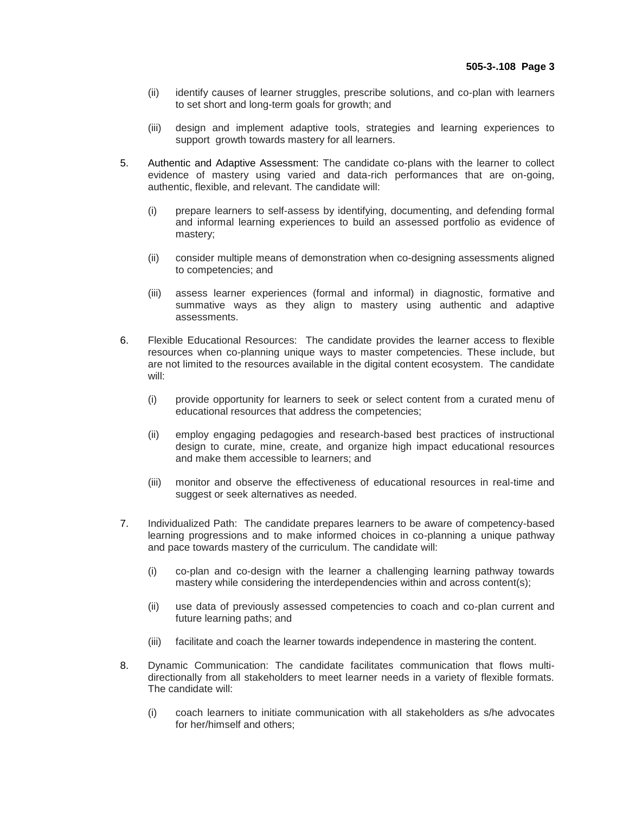- (ii) identify causes of learner struggles, prescribe solutions, and co-plan with learners to set short and long-term goals for growth; and
- (iii) design and implement adaptive tools, strategies and learning experiences to support growth towards mastery for all learners.
- 5. Authentic and Adaptive Assessment: The candidate co-plans with the learner to collect evidence of mastery using varied and data-rich performances that are on-going, authentic, flexible, and relevant. The candidate will:
	- (i) prepare learners to self-assess by identifying, documenting, and defending formal and informal learning experiences to build an assessed portfolio as evidence of mastery;
	- (ii) consider multiple means of demonstration when co-designing assessments aligned to competencies; and
	- (iii) assess learner experiences (formal and informal) in diagnostic, formative and summative ways as they align to mastery using authentic and adaptive assessments.
- 6. Flexible Educational Resources: The candidate provides the learner access to flexible resources when co-planning unique ways to master competencies. These include, but are not limited to the resources available in the digital content ecosystem. The candidate will:
	- (i) provide opportunity for learners to seek or select content from a curated menu of educational resources that address the competencies;
	- (ii) employ engaging pedagogies and research-based best practices of instructional design to curate, mine, create, and organize high impact educational resources and make them accessible to learners; and
	- (iii) monitor and observe the effectiveness of educational resources in real-time and suggest or seek alternatives as needed.
- 7. Individualized Path: The candidate prepares learners to be aware of competency-based learning progressions and to make informed choices in co-planning a unique pathway and pace towards mastery of the curriculum. The candidate will:
	- (i) co-plan and co-design with the learner a challenging learning pathway towards mastery while considering the interdependencies within and across content(s);
	- (ii) use data of previously assessed competencies to coach and co-plan current and future learning paths; and
	- (iii) facilitate and coach the learner towards independence in mastering the content.
- 8. Dynamic Communication: The candidate facilitates communication that flows multidirectionally from all stakeholders to meet learner needs in a variety of flexible formats. The candidate will:
	- (i) coach learners to initiate communication with all stakeholders as s/he advocates for her/himself and others;